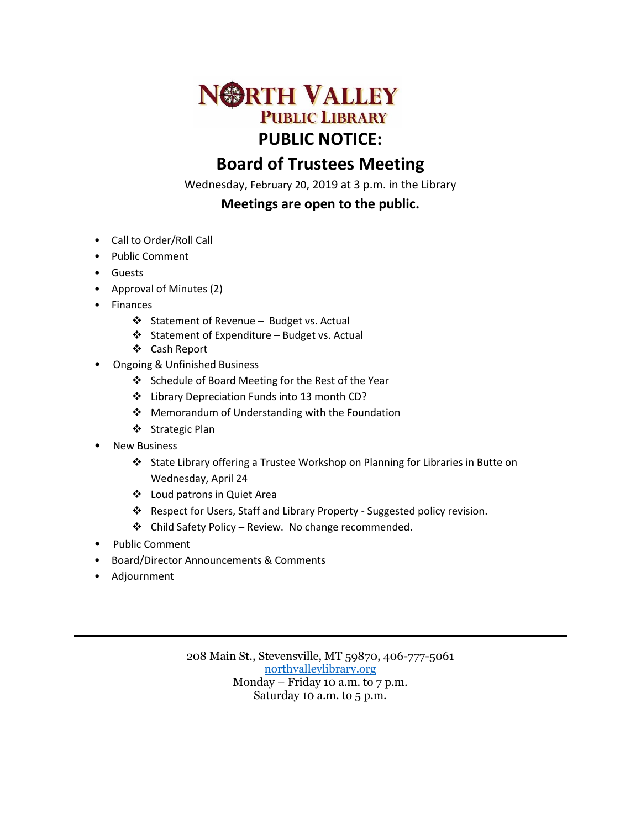

# **Board of Trustees Meeting**

Wednesday, February 20, 2019 at 3 p.m. in the Library

# **Meetings are open to the public.**

- Call to Order/Roll Call
- Public Comment
- Guests
- Approval of Minutes (2)
- Finances
	- Statement of Revenue Budget vs. Actual
	- Statement of Expenditure Budget vs. Actual
	- Cash Report
- Ongoing & Unfinished Business
	- Schedule of Board Meeting for the Rest of the Year
	- Library Depreciation Funds into 13 month CD?
	- ❖ Memorandum of Understanding with the Foundation
	- ❖ Strategic Plan
- **New Business** 
	- State Library offering a Trustee Workshop on Planning for Libraries in Butte on Wednesday, April 24
	- Loud patrons in Quiet Area
	- Respect for Users, Staff and Library Property Suggested policy revision.
	- Child Safety Policy Review. No change recommended.
- Public Comment
- Board/Director Announcements & Comments
- Adjournment

208 Main St., Stevensville, MT 59870, 406-777-5061 [northvalleylibrary.org](http://www.northvalleylibrary.org/) Monday – Friday 10 a.m. to 7 p.m. Saturday 10 a.m. to 5 p.m.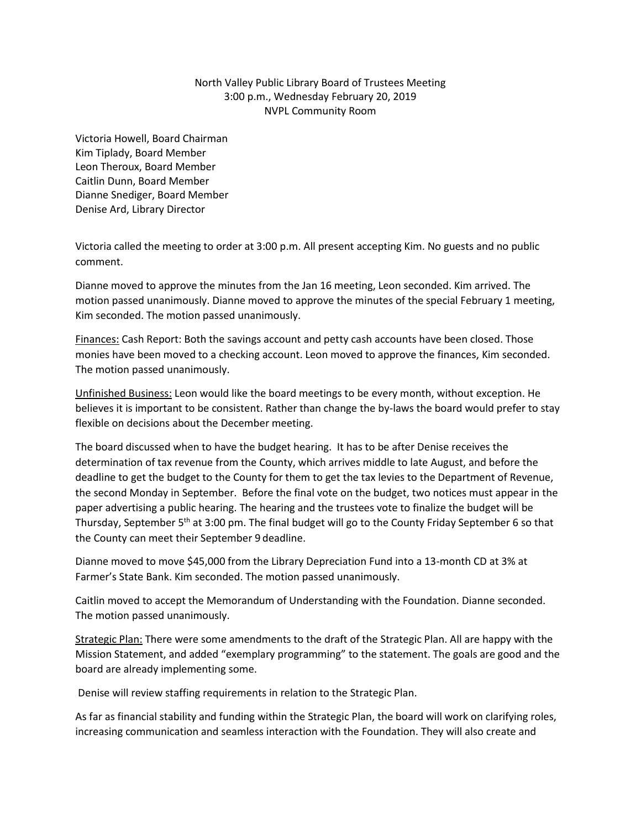## North Valley Public Library Board of Trustees Meeting 3:00 p.m., Wednesday February 20, 2019 NVPL Community Room

Victoria Howell, Board Chairman Kim Tiplady, Board Member Leon Theroux, Board Member Caitlin Dunn, Board Member Dianne Snediger, Board Member Denise Ard, Library Director

Victoria called the meeting to order at 3:00 p.m. All present accepting Kim. No guests and no public comment.

Dianne moved to approve the minutes from the Jan 16 meeting, Leon seconded. Kim arrived. The motion passed unanimously. Dianne moved to approve the minutes of the special February 1 meeting, Kim seconded. The motion passed unanimously.

Finances: Cash Report: Both the savings account and petty cash accounts have been closed. Those monies have been moved to a checking account. Leon moved to approve the finances, Kim seconded. The motion passed unanimously.

Unfinished Business: Leon would like the board meetings to be every month, without exception. He believes it is important to be consistent. Rather than change the by-laws the board would prefer to stay flexible on decisions about the December meeting.

The board discussed when to have the budget hearing. It has to be after Denise receives the determination of tax revenue from the County, which arrives middle to late August, and before the deadline to get the budget to the County for them to get the tax levies to the Department of Revenue, the second Monday in September. Before the final vote on the budget, two notices must appear in the paper advertising a public hearing. The hearing and the trustees vote to finalize the budget will be Thursday, September 5<sup>th</sup> at 3:00 pm. The final budget will go to the County Friday September 6 so that the County can meet their September 9 deadline.

Dianne moved to move \$45,000 from the Library Depreciation Fund into a 13-month CD at 3% at Farmer's State Bank. Kim seconded. The motion passed unanimously.

Caitlin moved to accept the Memorandum of Understanding with the Foundation. Dianne seconded. The motion passed unanimously.

Strategic Plan: There were some amendments to the draft of the Strategic Plan. All are happy with the Mission Statement, and added "exemplary programming" to the statement. The goals are good and the board are already implementing some.

Denise will review staffing requirements in relation to the Strategic Plan.

As far as financial stability and funding within the Strategic Plan, the board will work on clarifying roles, increasing communication and seamless interaction with the Foundation. They will also create and